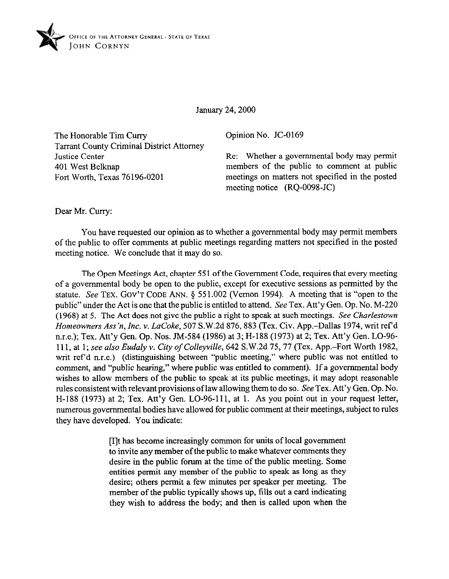

January 24,200O

The Honorable Tim Curry Tarrant County Criminal District Attorney Justice Center 401 West Belknap Fort Worth, Texas 76196-0201

Opinion No. JC-0169

Re: Whether a governmental body may permit members of the public to comment at public meetings on matters not specified in the posted meeting notice (RQ-0098-JC)

Dear Mr. Curry:

You have requested our opinion as to whether a governmental body may permit members of the public to offer comments at public meetings regarding matters not specified in the posted meeting notice. We conclude that it may do so.

The Open Meetings Act, chapter 551 of the Government Code, requires that every meeting of a governmental body be open to the public, except for executive sessions as permitted by the statute. See **TEX. GOV'T CODE ANN.** 5 551.002 (Vernon 1994). A meeting that is "open to the public" under the Act is one that the public is entitled to attend. See Tex. Att'y Gen. Op. No. M-220 (1968) at 5. The Act does not give the public a right to speak at such meetings. See *Charlestown Homeowners Ass* 'n, *Inc.* Y. *LaCoke,* 507 S.W.2d 876,883 (Tex. Civ. App.-Dallas 1974, writ ref d n.r.e.); Tex. Att'y Gen. Op. Nos. JM-584 (1986) at 3; H-188 (1973) at 2; Tex. Att'y Gen. LO-96- 111, at 1; *see also Eudaly* v. *City of Colleyville,* 642 S.W.2d 75,77 (Tex. App.-Fort Worth 1982, writ ref'd n.r.e.) (distinguishing between "public meeting," where public was not entitled to comment, and "public hearing," where public was entitled to comment). If a governmental body wishes to allow members of the public to speak at its public meetings, it may adopt reasonable rules consistent with relevant provisions of law allowing them to do so. See Tex. Att'y Gen. Op. No. H-188 (1973) at 2; Tex. Att'y Gen. LO-96-111, at 1. As you point out in your request letter, numerous governmental bodies have allowed for public comment at their meetings, subject to rules they have developed. You indicate:

> [I]t has become increasingly common for units of local government to invite any member of the public to make whatever comments they desire in the public forum at the time of the public meeting. Some entities permit any member of the public to speak aa long aa they desire; others permit a few minutes per speaker per meeting. The member of the public typically shows up, tills out a card indicating they wish to address the body; and then is called upon when the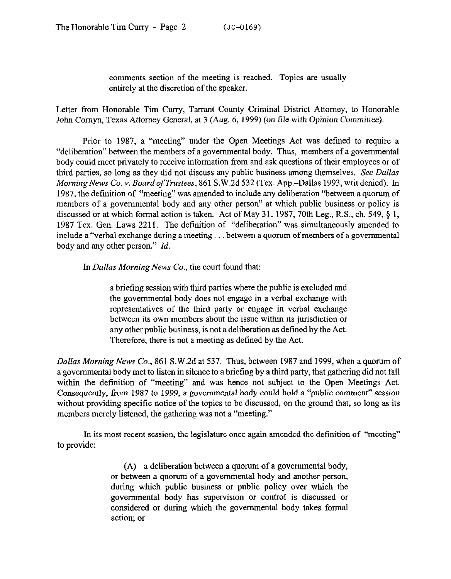comments section of the meeting is reached. Topics are usually entirely at the discretion of the speaker.

Letter from Honorable Tim Curry, Tarrant County Criminal District Attorney, to Honorable John Comyn, Texas Attorney General, at 3 (Aug. 6, 1999) *(on* file with Opinion Committee).

Prior to 1987, a "meeting" under the Open Meetings Act was defined to require a "deliberation" between the members of a governmental body. Thus, members of a governmental body could meet privately to receive information from and ask questions of their employees or of third parties, so long as they did not discuss any public business among themselves. *See Dallas Morning News Co. Y. Board of Trustees,* 861 S.W.2d 532 (Tex. App.-Dallas 1993, writ denied). In 1987, the definition of "meeting" was amended to include any deliberation "between a quorum of members of a governmental body and any other person" at which public business or policy is discussed or at which formal action is taken. Act of May 31, 1987, 70th Leg., R.S., ch. 549, § 1, 1987 Tex. Gen. Laws 2211. The definition of "deliberation" was simultaneously amended to include a "verbal exchange during a meeting... between a quorum of members of a governmental body and any other person." *Id.* 

In *Dullas Morning* News Co., the court found that:

a briefing session with third parties where the public is excluded and the governmental body does not engage in a verbal exchange with representatives of the third party or engage in verbal exchange between its own members about the issue within its jurisdiction or any other public business, is not a deliberation as defined by the Act. Therefore, there is not a meeting as defined by the Act.

*Dallas Morning* News Co., 861 S.W.2d at 537. Thus, between 1987 and 1999, when a quorum of a governmental body met to listen in silence to a briefing by a third party, that gathering did not fall within the definition of "meeting" and was hence not subject to the Open Meetings Act. Consequently, from 1987 to 1999, a govemmcntal body could hold a "public comment" session without providing specific notice of the topics to be discussed, on the ground that, so long as its members merely listened, the gathering was not a "meeting."

In its most recent session, the legislature once again amended the definition of "meeting" to provide:

> (A) a deliberation between a quorum of a governmental body, or between a quorum of a governmental body and another person, during which public business or public policy over which the governmental body has supervision or control is discussed or considered or during which the governmental body takes formal action: or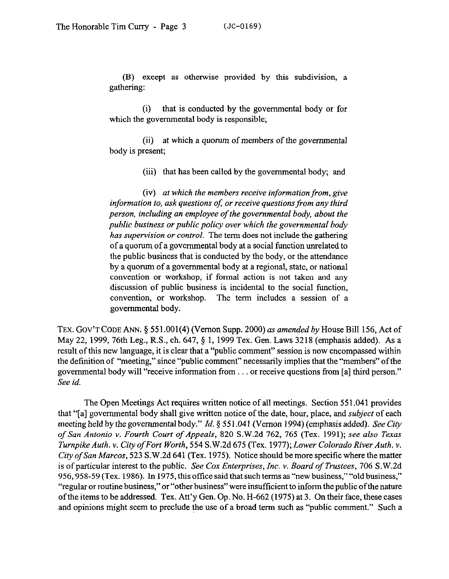(B) except as otherwise provided by this subdivision, a gathering:

(i) that is conducted by the governmental body or for which the governmental body is responsible;

(ii) at which a quorum of members of the governmental body is present;

(iii) that has been called by the governmental body; and

(iv) *at which the members receive information from, give*  information to, ask questions of, or receive questions from any third *person, including an employee of the governmental body, about the*  public business or public policy over which the governmental body *has supervision or control.* The term does not include the gathering of a quorum of a governmental body at a social function unrelated to the public business that is conducted by the body, or the attendance by a quorum of a governmental body at a regional, state, or national convention or workshop, if formal action is not taken and any discussion of public business is incidental to the social function, convention, or workshop. The term includes a session of a governmental body.

**TEX. GOV'T CODE** *ANN. \$551.001(4)* (Vernon Supp. *2000) as amended by* House Bill 156, Act of May 22, 1999, 76th Leg., R.S., ch. 647, § 1, 1999 Tex. Gen. Laws 3218 (emphasis added). As a result of this new language, it is clear that a "public comment" session is now encompassed within the definition of "meeting," since "public comment" necessarily implies that the "members" of the governmental body will "receive information from  $\dots$  or receive questions from [a] third person." *See id.* 

The Open Meetings Act requires written notice of all meetings. Section 55 1.041 provides that "[a] governmental body shall give written notice of the date, hour, place, and *subject* of each meeting held by the governmental body." *Id.* 3 55 1.04 1 (Vernon 1994) (emphasis added). See City *of San Antonio v. Fourth Court of Appeals, 820* S.W.2d 762, 765 (Tex. 1991); see *also Texas Turnpike Auth. v. City ofFort Worth, 554* S.W.2d 675 (Tex. 1977); *Lower Colorado River Auth. v. City of San Marcos,* 523 S.W.2d 641 (Tex. 1975). Notice should be more specific where the matter is of particular interest to the public. *See Con Enterprises, Inc. v. Board of Trustees, 706* S.W.2d 956,958-59 (Tex. 1986). In 1975, this office said that such terms as "new business," "old business," "regular or routine business," or "other business" were insufficient to inform the public of the nature of the items to be addressed. Tex. Att'y Gen. Op. No. H-662 (1975) at 3. On their face, these cases and opinions might seem to preclude the use of a broad term such as "public comment." Such a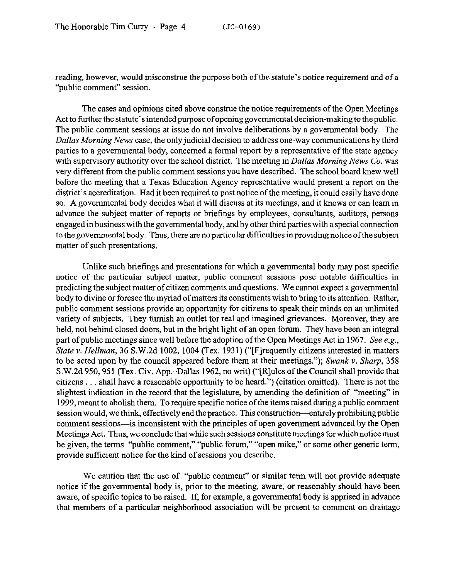reading, however, would misconstrue the purpose both of the statute's notice requirement and of a "public comment" session.

The cases and opinions cited above construe the notice requirements of the Open Meetings Act to further the statute's intended purpose of opening governmental decision-making to the public. The public comment sessions at issue do not involve deliberations by a governmental body. The *Dallas Morning* News case, the only judicial decision to address one-way communications by third parties to a governmental body, concerned a formal report by a representative of the state agency with supervisory authority over the school district. The meeting in *Dallas Morning News Co. was*  very different from the public comment sessions you have described. The school board knew well before the meeting that a Texas Education Agency representative would present a report on the district's accreditation. Had it been required to post notice ofthe meeting, it could easily have done so. A governmental body decides what it will discuss at its meetings, and it knows or can learn in advance the subject matter of reports or briefings by employees, consultants, auditors, persons engaged in business with the governmental body, and by other third parties with a special connection to the governmental body. Thus, there are no particular difficulties in providing notice ofthe subject matter of such presentations.

Unlike such briefings and presentations for which a governmental body may post specific notice of the particular subject matter, public comment sessions pose notable difficulties in predicting the subject matter of citizen comments and questions. We cannot expect a governmental body to divine or foresee the myriad of matters its constituents wish to bring to its attention. Rather, public comment sessions provide an opportunity for citizens to speak their minds on an unlimited variety of subjects. They furnish an outlet for real and imagined grievances. Moreover, they are held, not behind closed doors, but in the bright light of an open forum. They have been an integral part of public meetings since well before the adoption of the Open Meetings Act in 1967. See e.g., *State v. Hellman, 36 S.W.2d 1002, 1004 (Tex. 1931) ("[F] requently citizens interested in matters* to be acted upon by the council appeared before them at their meetings."); *Swank v. Sharp, 358*  S.W.2d 950, 951 (Tex. Civ. App.-Dallas 1962, no writ) ("[R]ules of the Council shall provide that citizens  $\ldots$  shall have a reasonable opportunity to be heard.") (citation omitted). There is not the slightest indication in the record that the legislature, by amending the definition of "meeting" in 1999, meant to abolish them. To require specific notice of the items raised during a public comment session would, we think, effectively end the practice. This construction—entirely prohibiting public comment sessions-is inconsistent with the principles of open government advanced by the Open Meetings Act. Thus, we conclude that while such sessions constitute meetings for which notice must be given, the terms "public comment," "public forum," "open mike," or some other generic term, provide sufficient notice for the kind of sessions you describe.

We caution that the use of "public comment" or similar term will not provide adequate notice if the governmental body is, prior to the meeting, aware, or reasonably should have been aware, of specific topics to be raised. If, for example, a governmental body is apprised in advance that members of a particular neighborhood association will be present to comment on drainage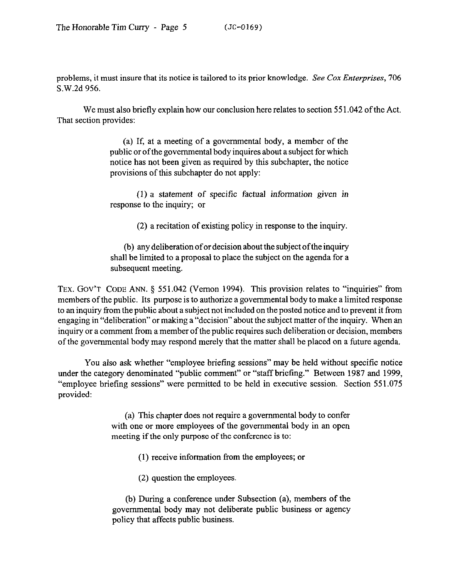problems, it must insure that its notice is tailored to its prior knowledge. *See Cox Enterprises, 706*  S.W.2d 956.

We must also briefly explain how our conclusion here relates to section 551.042 of the Act. That section provides:

> (a) If, at a meeting of a governmental body, a member of the public or of the governmental body inquires about a subject for which notice has not been given as required by this subchapter, the notice provisions of this subchapter do not apply:

> (1) a statement of specific factual information given in response to the inquiry; or

> > (2) a recitation of existing policy in response to the inquiry.

(b) any deliberation of or decision about the subject ofthe inquiry shall be limited to a proposal to place the subject on the agenda for a subsequent meeting.

TEX. GOV'T CODE ANN. § 551.042 (Vernon 1994). This provision relates to "inquiries" from members of the public. Its purpose is to authorize a governmental body to make a limited response to an inquiry from the public about a subject not included on the posted notice and to prevent it from engaging in "deliberation" or making a "decision" about the subject **matter** of the inquiry. When an inquiry or a comment from a member of the public requires such deliberation or decision, members of the governmental body may respond merely that the matter shall be placed on a future agenda.

You also ask whether "employee briefing sessions" may be held without specific notice under the category denominated "public comment" or "staff briefing." Between 1987 and 1999, "employee briefing sessions" were permitted to be held in executive session. Section 551.075 provided:

> (a) This chapter does not require a governmental body to confer with one or more employees of the governmental body in an open meeting if the only purpose of the conference is to:

> > (1) receive information from the employees; or

(2) question the employees.

(b) During a conference under Subsection (a), members of the governmental body may not deliberate public business or agency policy that affects public business.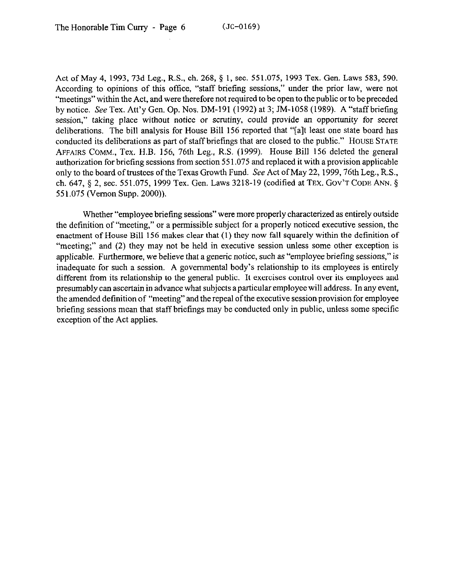Act of May 4, 1993, 73d Leg., R.S., ch. 268, 5 1, sec. 551.075, 1993 Tex. Gen. Laws 583, 590. According to opinions of this office, "staff briefing sessions," under the prior law, were not "meetings" within the Act, and were therefore not required to be open to the public or to be preceded by notice. See Tex. Att'y Gen. Op. Nos. DM-191 (1992) at 3; IM-1058 (1989). A "staffbriefmg session," taking place without notice or scrutiny, could provide an opportunity for secret deliberations. The bill analysis for House Bill 156 reported that "[a]t least one state board has conducted its deliberations as part of staff briefings that are closed to the public." HOUSE STATE AFFAIRS COMM., Tex. H.B. 156, 76th Leg., R.S. (1999). House Bill 156 deleted the general authorization for briefing sessions from section 55 1.075 and replaced it with a provision applicable only to the board of trustees of the Texas Growth Fund. See Act of May 22, 1999, 76th Leg., R.S., ch. 647, § 2, sec. 551.075, 1999 Tex. Gen. Laws 3218-19 (codified at TEX. GOV'T CODE ANN. § 551.075 (Vernon Supp. 2000)).

Whether "employee briefing sessions" were more properly characterized as entirely outside the definition of "meeting," or a permissible subject for a properly noticed executive session, the enactment of House Bill 156 makes clear that (1) they now fall squarely within the definition of "meeting;" and (2) they may not be held in executive session unless some other exception is applicable. Furthermore, we believe that a generic notice, such as "employee briefing sessions," is inadequate for such a session. A governmental body's relationship to its employees is entirely different from its relationship to the general public. It exercises control over its employees and presumably can ascertain in advance what subjects a particular employee will address. In any event, the amended definition of "meeting" and the repeal of the executive session provision for employee briefing sessions mean that staff briefings may be conducted only in public, unless some specific exception of the Act applies.